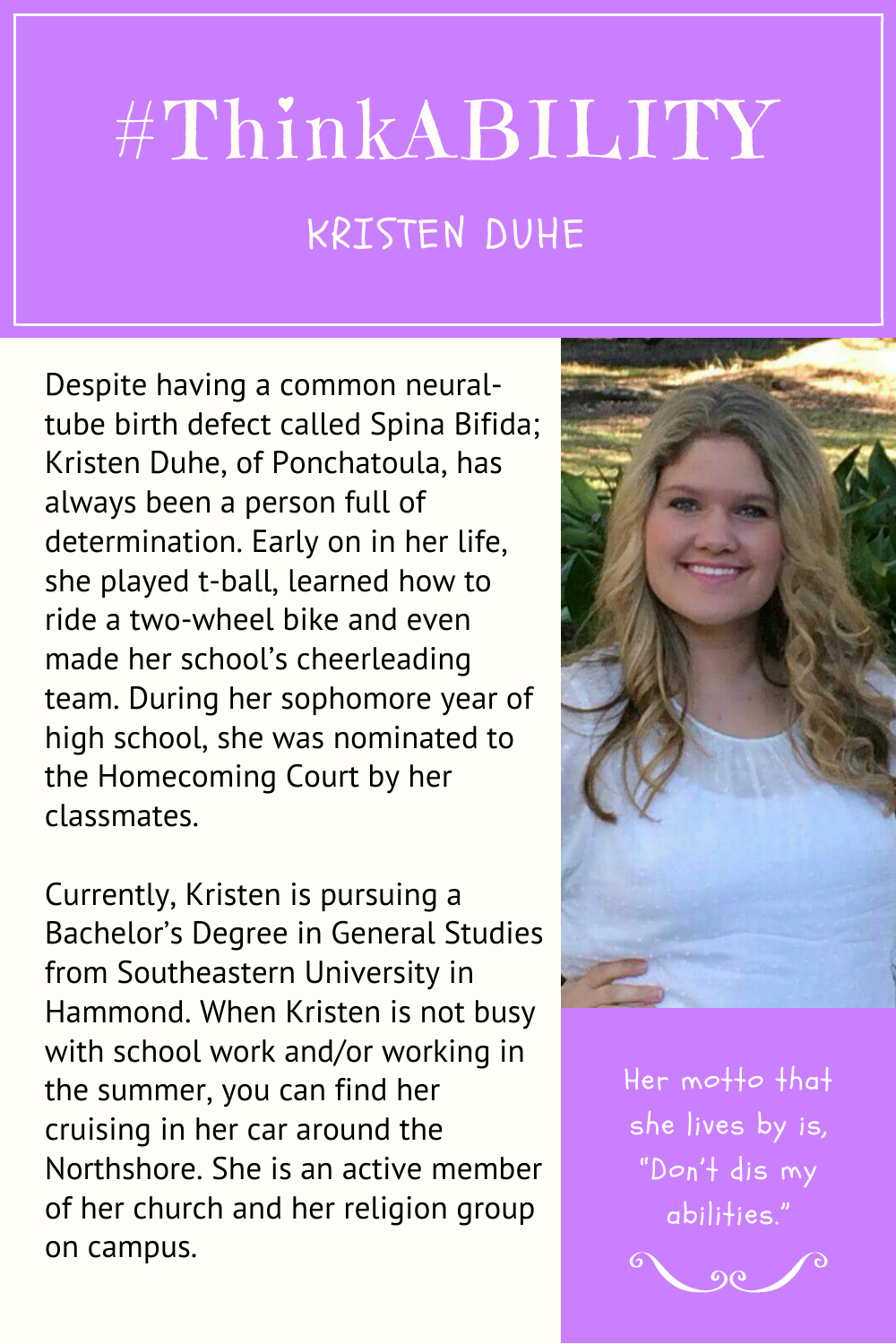## #ThinkABILITY KRISTEN DUHE

Despite having a common neuraltube birth defect called Spina Bifida; Kristen Duhe, of Ponchatoula, has always been a person full of determination. Early on in her life, she played t-ball, learned how to ride a two-wheel bike and even made her school's cheerleading team. During her sophomore year of high school, she was nominated to the Homecoming Court by her classmates.

Currently, Kristen is pursuing a Bachelor's Degree in General Studies from Southeastern University in Hammond. When Kristen is not busy with school work and/or working in the summer, you can find her cruising in her car around the Northshore. She is an active member of her church and her religion group on campus.



Her motto that she lives by is, "Don 't dis my abilities."